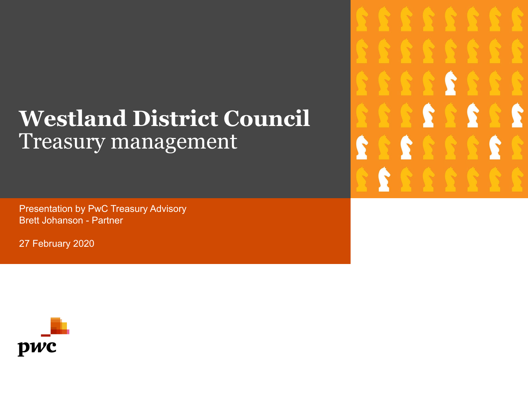# **Westland District Council** Treasury management

Presentation by PwC Treasury Advisory Brett Johanson - Partner

27 February 2020



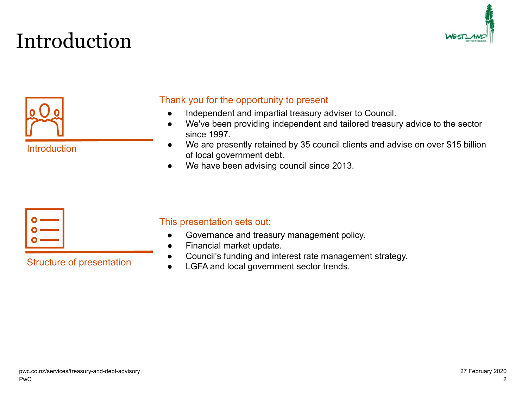# Introduction





Introduction

#### Thank you for the opportunity to present

- Independent and impartial treasury adviser to Council.
- We've been providing independent and tailored treasury advice to the sector since 1997.
- We are presently retained by 35 council clients and advise on over \$15 billion of local government debt.
- We have been advising council since 2013.



Structure of presentation

#### This presentation sets out:

- Governance and treasury management policy.
- Financial market update.
- Council's funding and interest rate management strategy.
- LGFA and local government sector trends.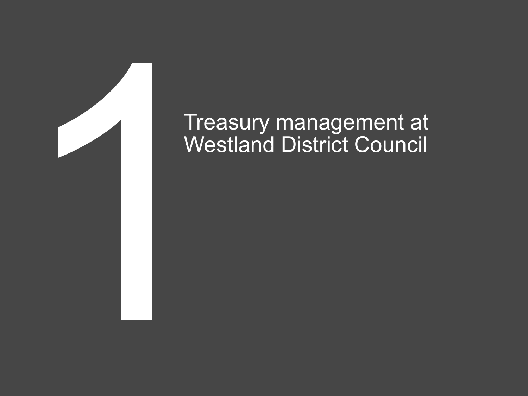

# Treasury management at<br>Westland District Council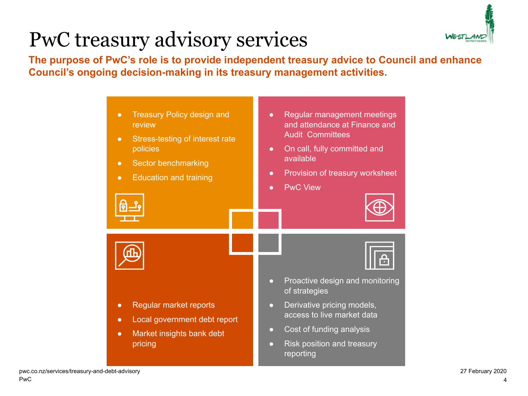# PwC treasury advisory services



**The purpose of PwC's role is to provide independent treasury advice to Council and enhance Council's ongoing decision-making in its treasury management activities.**

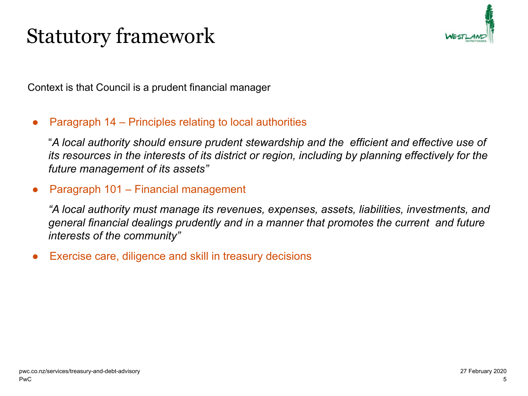## Statutory framework



Context is that Council is a prudent financial manager

#### Paragraph 14 – Principles relating to local authorities

"*A local authority should ensure prudent stewardship and the efficient and effective use of its resources in the interests of its district or region, including by planning effectively for the future management of its assets"*

#### Paragraph 101 – Financial management

*"A local authority must manage its revenues, expenses, assets, liabilities, investments, and general financial dealings prudently and in a manner that promotes the current and future interests of the community"*

Exercise care, diligence and skill in treasury decisions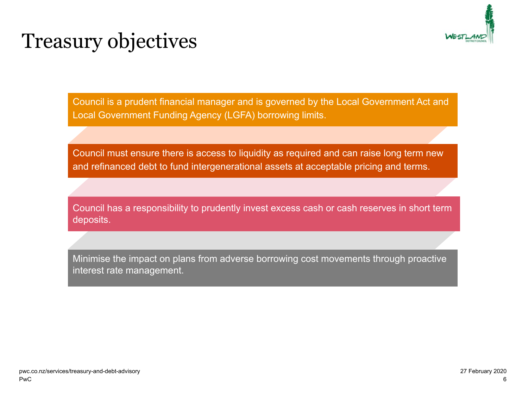

## Treasury objectives

Council is a prudent financial manager and is governed by the Local Government Act and Local Government Funding Agency (LGFA) borrowing limits.

Council must ensure there is access to liquidity as required and can raise long term new and refinanced debt to fund intergenerational assets at acceptable pricing and terms.

Council has a responsibility to prudently invest excess cash or cash reserves in short term deposits.

Minimise the impact on plans from adverse borrowing cost movements through proactive interest rate management.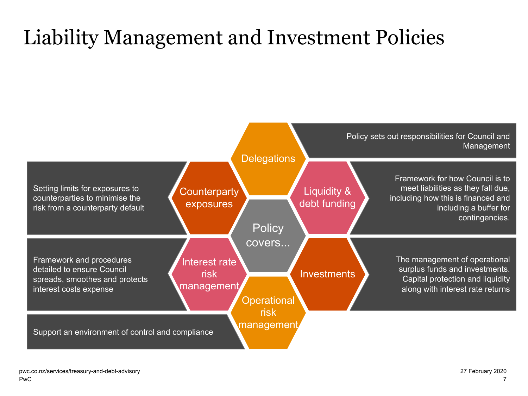# Liability Management and Investment Policies

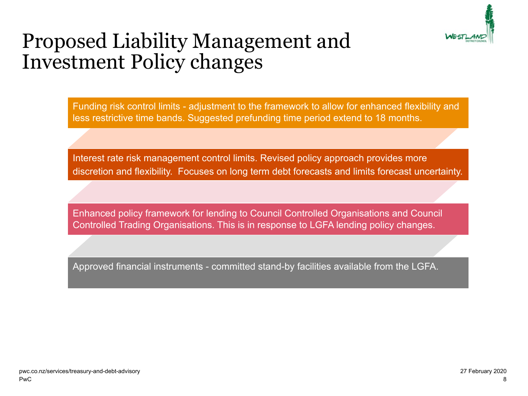

#### Proposed Liability Management and Investment Policy changes

Funding risk control limits - adjustment to the framework to allow for enhanced flexibility and less restrictive time bands. Suggested prefunding time period extend to 18 months.

Interest rate risk management control limits. Revised policy approach provides more discretion and flexibility. Focuses on long term debt forecasts and limits forecast uncertainty.

Enhanced policy framework for lending to Council Controlled Organisations and Council Controlled Trading Organisations. This is in response to LGFA lending policy changes.

Approved financial instruments - committed stand-by facilities available from the LGFA.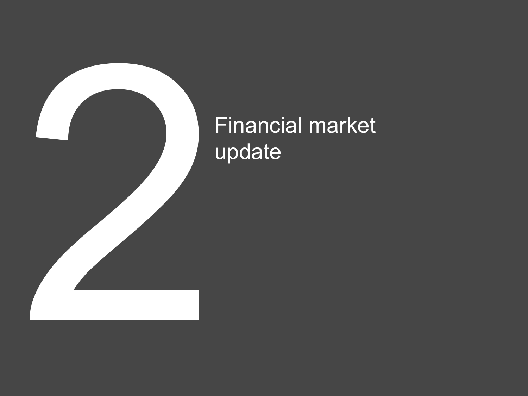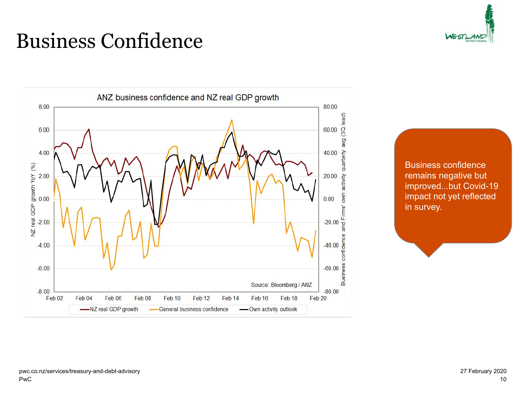## Business Confidence





Business confidence remains negative but improved...but Covid-19 impact not yet reflected in survey.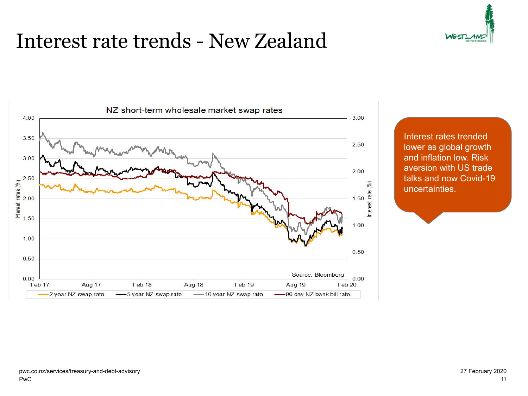#### Interest rate trends - New Zealand





Interest rates trended lower as global growth and inflation low. Risk aversion with US trade talks and now Covid-19 uncertainties.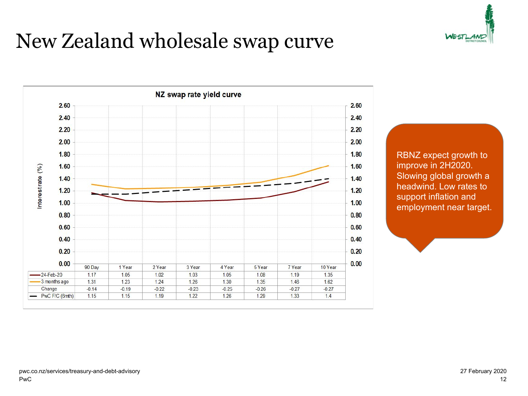## New Zealand wholesale swap curve





RBNZ expect growth to improve in 2H2020. Slowing global growth a headwind. Low rates to support inflation and employment near target.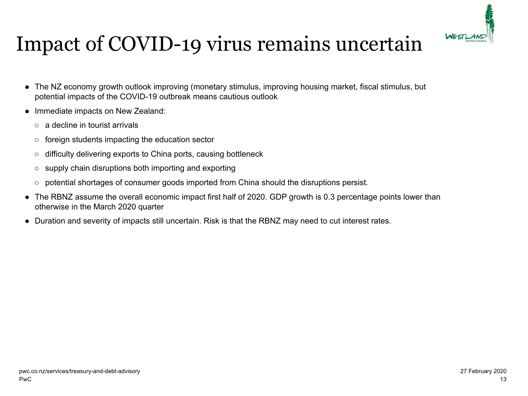

# Impact of COVID-19 virus remains uncertain

- The NZ economy growth outlook improving (monetary stimulus, improving housing market, fiscal stimulus, but potential impacts of the COVID-19 outbreak means cautious outlook
- Immediate impacts on New Zealand:
	- a decline in tourist arrivals
	- foreign students impacting the education sector
	- difficulty delivering exports to China ports, causing bottleneck
	- supply chain disruptions both importing and exporting
	- potential shortages of consumer goods imported from China should the disruptions persist.
- The RBNZ assume the overall economic impact first half of 2020. GDP growth is 0.3 percentage points lower than otherwise in the March 2020 quarter
- Duration and severity of impacts still uncertain. Risk is that the RBNZ may need to cut interest rates.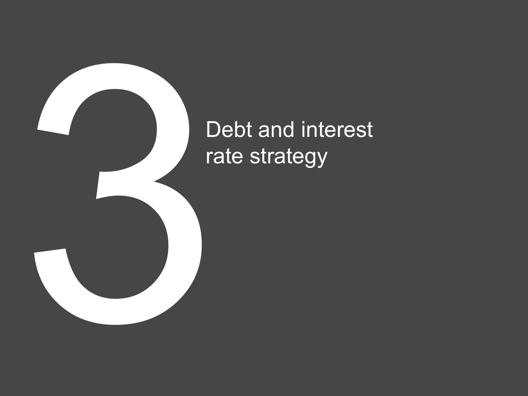

# Debt and interest rate strategy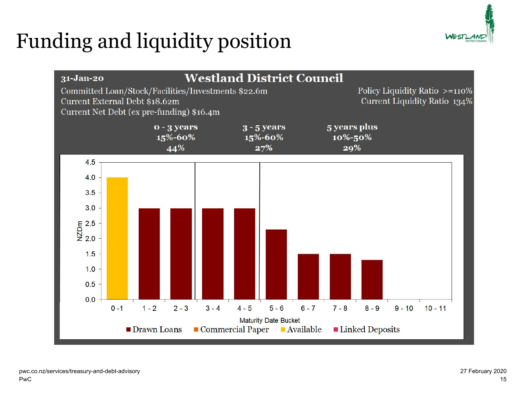# Funding and liquidity position



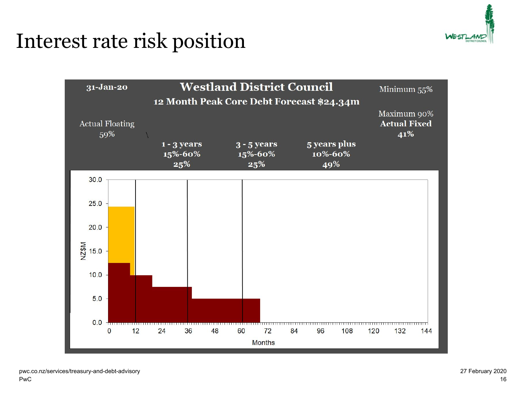

## Interest rate risk position

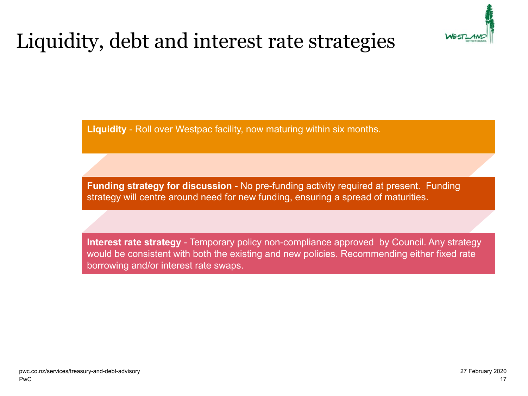

# Liquidity, debt and interest rate strategies

**Liquidity** - Roll over Westpac facility, now maturing within six months.

**Funding strategy for discussion** - No pre-funding activity required at present. Funding strategy will centre around need for new funding, ensuring a spread of maturities.

**Interest rate strategy** - Temporary policy non-compliance approved by Council. Any strategy would be consistent with both the existing and new policies. Recommending either fixed rate borrowing and/or interest rate swaps.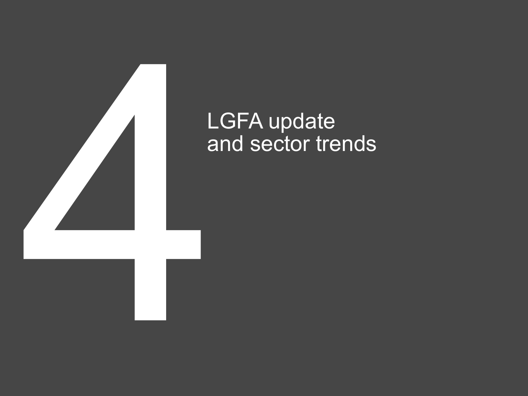

#### LGFA update and sector trends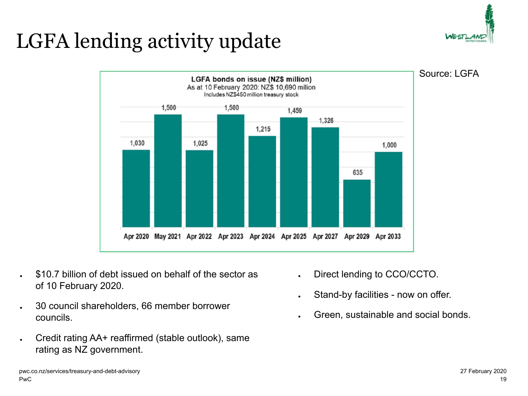# LGFA lending activity update





- \$10.7 billion of debt issued on behalf of the sector as of 10 February 2020.
- 30 council shareholders, 66 member borrower councils.
- Credit rating AA+ reaffirmed (stable outlook), same rating as NZ government.
- Direct lending to CCO/CCTO.
- Stand-by facilities now on offer.
- Green, sustainable and social bonds.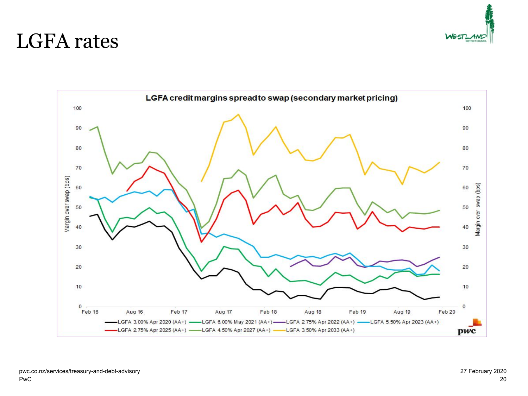

#### LGFA rates

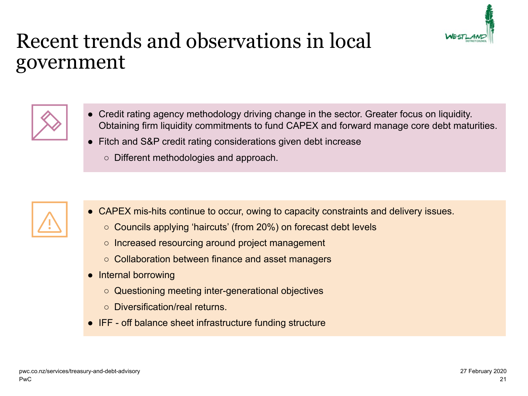

#### Recent trends and observations in local government



- Credit rating agency methodology driving change in the sector. Greater focus on liquidity. Obtaining firm liquidity commitments to fund CAPEX and forward manage core debt maturities.
- Fitch and S&P credit rating considerations given debt increase
	- Different methodologies and approach.



- CAPEX mis-hits continue to occur, owing to capacity constraints and delivery issues.
	- Councils applying 'haircuts' (from 20%) on forecast debt levels
	- Increased resourcing around project management
	- Collaboration between finance and asset managers
- Internal borrowing
	- Questioning meeting inter-generational objectives
	- Diversification/real returns.
- IFF off balance sheet infrastructure funding structure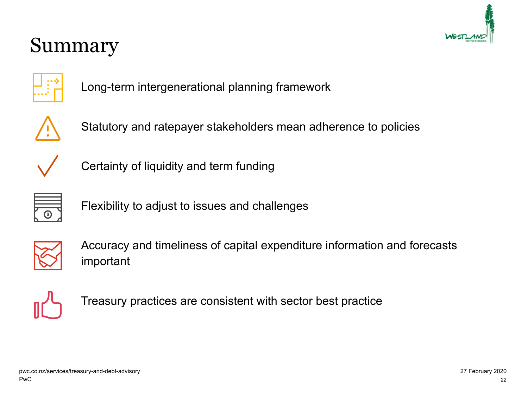

#### Summary



Long-term intergenerational planning framework



Statutory and ratepayer stakeholders mean adherence to policies



Certainty of liquidity and term funding



Flexibility to adjust to issues and challenges



Accuracy and timeliness of capital expenditure information and forecasts important



Treasury practices are consistent with sector best practice